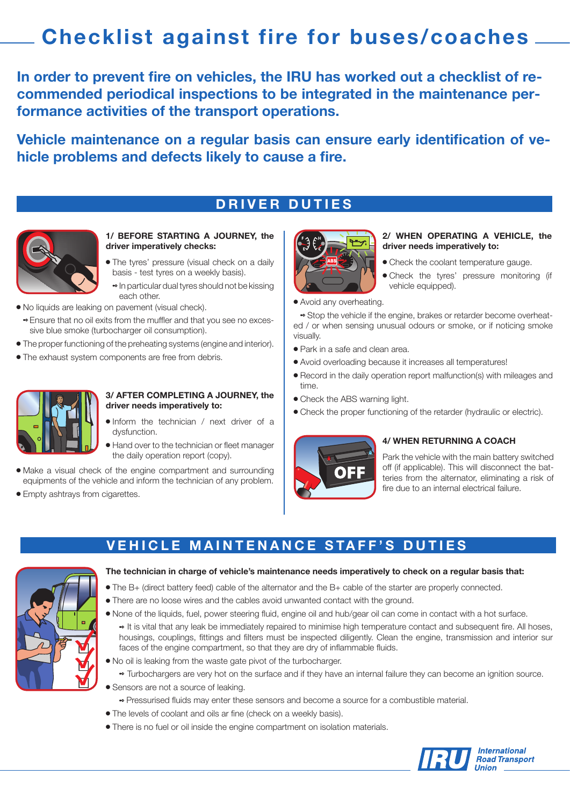# **Checklist against fire for buses/coaches**

**In order to prevent fire on vehicles, the IRU has worked out a checklist of recommended periodical inspections to be integrated in the maintenance performance activities of the transport operations.**

**Vehicle maintenance on a regular basis can ensure early identification of vehicle problems and defects likely to cause a fire.**

### **DRIVER DUTIES**



### **1/ BEFORE STARTING A JOURNEY, the driver imperatively checks:**

• The tyres' pressure (visual check on a daily basis - test tyres on a weekly basis).

<sup>2</sup> In particular dual tyres should not be kissing each other.

- $\bullet$  No liquids are leaking on pavement (visual check).
	- **Ensure that no oil exits from the muffler and that you see no exces-** sive blue smoke (turbocharger oil consumption).
- The proper functioning of the preheating systems (engine and interior).
- The exhaust system components are free from debris.



### **3/ AFTER COMPLETING A JOURNEY, the driver needs imperatively to:**

- **Inform** the technician / next driver of a dysfunction.
- $\bullet$  Hand over to the technician or fleet manager the daily operation report (copy).
- Make a visual check of the engine compartment and surrounding equipments of the vehicle and inform the technician of any problem.
- Empty ashtrays from cigarettes.



#### **2/ WHEN OPERATING A VEHICLE, the driver needs imperatively to:**

- Check the coolant temperature gauge.
- **Check the tyres' pressure monitoring (if** vehicle equipped).
- Avoid any overheating.

<sup>2</sup> Stop the vehicle if the engine, brakes or retarder become overheated / or when sensing unusual odours or smoke, or if noticing smoke visually.

- Park in a safe and clean area.
- Avoid overloading because it increases all temperatures!
- Record in the daily operation report malfunction(s) with mileages and time.
- $\bullet$  Check the ABS warning light.
- Check the proper functioning of the retarder (hydraulic or electric).



### **4/ WHEN RETURNING A COACH**

Park the vehicle with the main battery switched off (if applicable). This will disconnect the batteries from the alternator, eliminating a risk of fire due to an internal electrical failure.

### **VEHICLE MAINTENANCE STAFF'S DUTIES**



#### **The technician in charge of vehicle's maintenance needs imperatively to check on a regular basis that:**

- <sup>l</sup> The B+ (direct battery feed) cable of the alternator and the B+ cable of the starter are properly connected.
- There are no loose wires and the cables avoid unwanted contact with the ground.
- None of the liquids, fuel, power steering fluid, engine oil and hub/gear oil can come in contact with a hot surface. <sup>2</sup> It is vital that any leak be immediately repaired to minimise high temperature contact and subsequent fire. All hoses, housings, couplings, fittings and filters must be inspected diligently. Clean the engine, transmission and interior sur faces of the engine compartment, so that they are dry of inflammable fluids.
- No oil is leaking from the waste gate pivot of the turbocharger.
	- <sup>2</sup> Turbochargers are very hot on the surface and if they have an internal failure they can become an ignition source.
- Sensors are not a source of leaking.
	- <sup>2</sup> Pressurised fluids may enter these sensors and become a source for a combustible material.
- The levels of coolant and oils ar fine (check on a weekly basis).
- There is no fuel or oil inside the engine compartment on isolation materials.